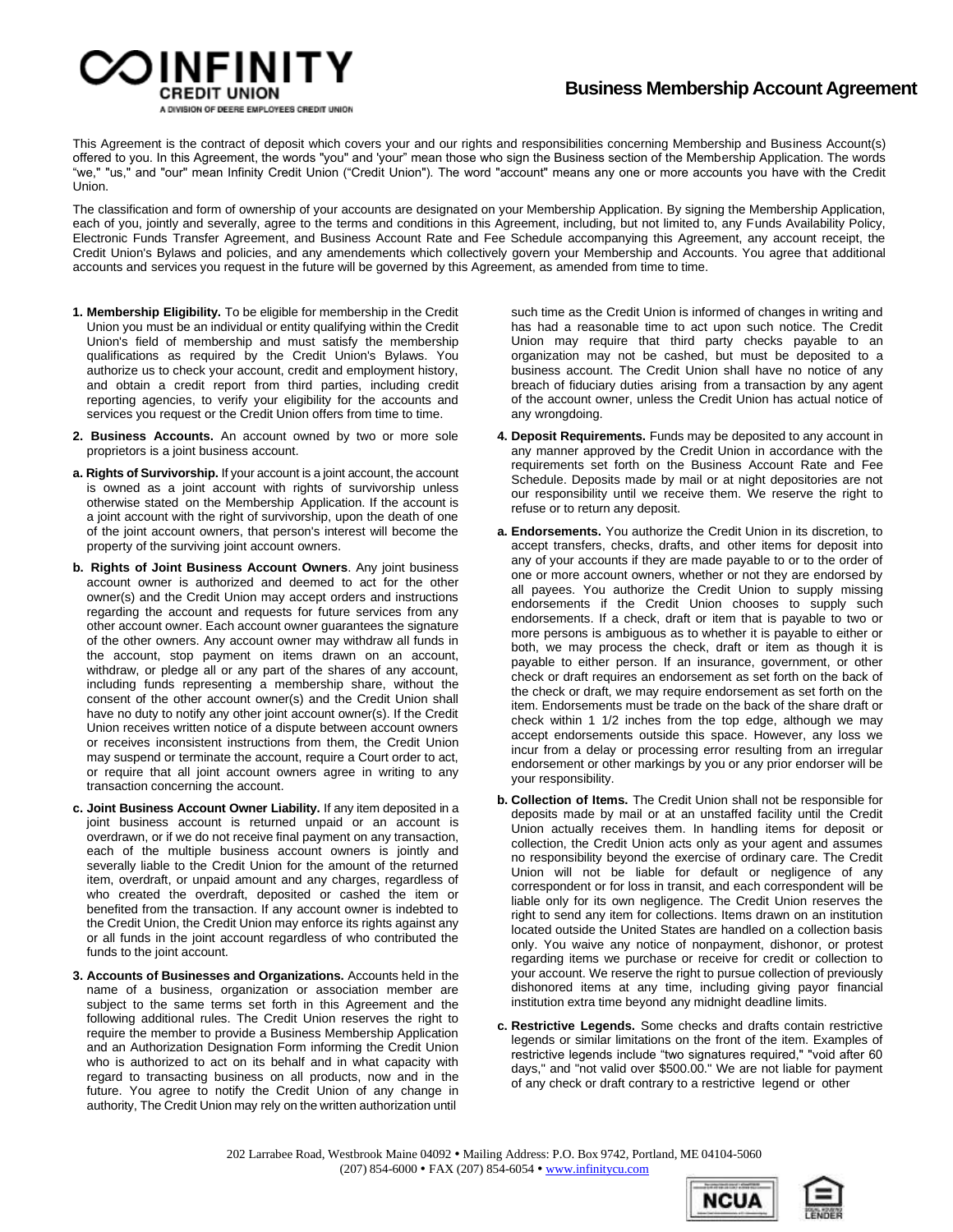

This Agreement is the contract of deposit which covers your and our rights and responsibilities concerning Membership and Business Account(s) offered to you. In this Agreement, the words "you" and 'your" mean those who sign the Business section of the Membership Application. The words "we," "us," and "our" mean Infinity Credit Union ("Credit Union"). The word "account" means any one or more accounts you have with the Credit Union.

The classification and form of ownership of your accounts are designated on your Membership Application. By signing the Membership Application, each of you, jointly and severally, agree to the terms and conditions in this Agreement, including, but not limited to, any Funds Availability Policy, Electronic Funds Transfer Agreement, and Business Account Rate and Fee Schedule accompanying this Agreement, any account receipt, the Credit Union's Bylaws and policies, and any amendements which collectively govern your Membership and Accounts. You agree that additional accounts and services you request in the future will be governed by this Agreement, as amended from time to time.

- **1. Membership Eligibility.** To be eligible for membership in the Credit Union you must be an individual or entity qualifying within the Credit Union's field of membership and must satisfy the membership qualifications as required by the Credit Union's Bylaws. You authorize us to check your account, credit and employment history, and obtain a credit report from third parties, including credit reporting agencies, to verify your eligibility for the accounts and services you request or the Credit Union offers from time to time.
- **2. Business Accounts.** An account owned by two or more sole proprietors is a joint business account.
- **a. Rights of Survivorship.** If your account is a joint account, the account is owned as a joint account with rights of survivorship unless otherwise stated on the Membership Application. If the account is a joint account with the right of survivorship, upon the death of one of the joint account owners, that person's interest will become the property of the surviving joint account owners.
- **b. Rights of Joint Business Account Owners**. Any joint business account owner is authorized and deemed to act for the other owner(s) and the Credit Union may accept orders and instructions regarding the account and requests for future services from any other account owner. Each account owner guarantees the signature of the other owners. Any account owner may withdraw all funds in the account, stop payment on items drawn on an account, withdraw, or pledge all or any part of the shares of any account, including funds representing a membership share, without the consent of the other account owner(s) and the Credit Union shall have no duty to notify any other joint account owner(s). If the Credit Union receives written notice of a dispute between account owners or receives inconsistent instructions from them, the Credit Union may suspend or terminate the account, require a Court order to act, or require that all joint account owners agree in writing to any transaction concerning the account.
- **c. Joint Business Account Owner Liability.** If any item deposited in a joint business account is returned unpaid or an account is overdrawn, or if we do not receive final payment on any transaction, each of the multiple business account owners is jointly and severally liable to the Credit Union for the amount of the returned item, overdraft, or unpaid amount and any charges, regardless of who created the overdraft, deposited or cashed the item or benefited from the transaction. If any account owner is indebted to the Credit Union, the Credit Union may enforce its rights against any or all funds in the joint account regardless of who contributed the funds to the joint account.
- **3. Accounts of Businesses and Organizations.** Accounts held in the name of a business, organization or association member are subject to the same terms set forth in this Agreement and the following additional rules. The Credit Union reserves the right to require the member to provide a Business Membership Application and an Authorization Designation Form informing the Credit Union who is authorized to act on its behalf and in what capacity with regard to transacting business on all products, now and in the future. You agree to notify the Credit Union of any change in authority, The Credit Union may rely on the written authorization until

such time as the Credit Union is informed of changes in writing and has had a reasonable time to act upon such notice. The Credit Union may require that third party checks payable to an organization may not be cashed, but must be deposited to a business account. The Credit Union shall have no notice of any breach of fiduciary duties arising from a transaction by any agent of the account owner, unless the Credit Union has actual notice of any wrongdoing.

- **4. Deposit Requirements.** Funds may be deposited to any account in any manner approved by the Credit Union in accordance with the requirements set forth on the Business Account Rate and Fee Schedule. Deposits made by mail or at night depositories are not our responsibility until we receive them. We reserve the right to refuse or to return any deposit.
- **a. Endorsements.** You authorize the Credit Union in its discretion, to accept transfers, checks, drafts, and other items for deposit into any of your accounts if they are made payable to or to the order of one or more account owners, whether or not they are endorsed by all payees. You authorize the Credit Union to supply missing endorsements if the Credit Union chooses to supply such endorsements. If a check, draft or item that is payable to two or more persons is ambiguous as to whether it is payable to either or both, we may process the check, draft or item as though it is payable to either person. If an insurance, government, or other check or draft requires an endorsement as set forth on the back of the check or draft, we may require endorsement as set forth on the item. Endorsements must be trade on the back of the share draft or check within 1 1/2 inches from the top edge, although we may accept endorsements outside this space. However, any loss we incur from a delay or processing error resulting from an irregular endorsement or other markings by you or any prior endorser will be your responsibility.
- **b. Collection of Items.** The Credit Union shall not be responsible for deposits made by mail or at an unstaffed facility until the Credit Union actually receives them. In handling items for deposit or collection, the Credit Union acts only as your agent and assumes no responsibility beyond the exercise of ordinary care. The Credit Union will not be liable for default or negligence of any correspondent or for loss in transit, and each correspondent will be liable only for its own negligence. The Credit Union reserves the right to send any item for collections. Items drawn on an institution located outside the United States are handled on a collection basis only. You waive any notice of nonpayment, dishonor, or protest regarding items we purchase or receive for credit or collection to your account. We reserve the right to pursue collection of previously dishonored items at any time, including giving payor financial institution extra time beyond any midnight deadline limits.
- **c. Restrictive Legends.** Some checks and drafts contain restrictive legends or similar limitations on the front of the item. Examples of restrictive legends include "two signatures required," "void after 60 days," and "not valid over \$500.00." We are not liable for payment of any check or draft contrary to a restrictive legend or other



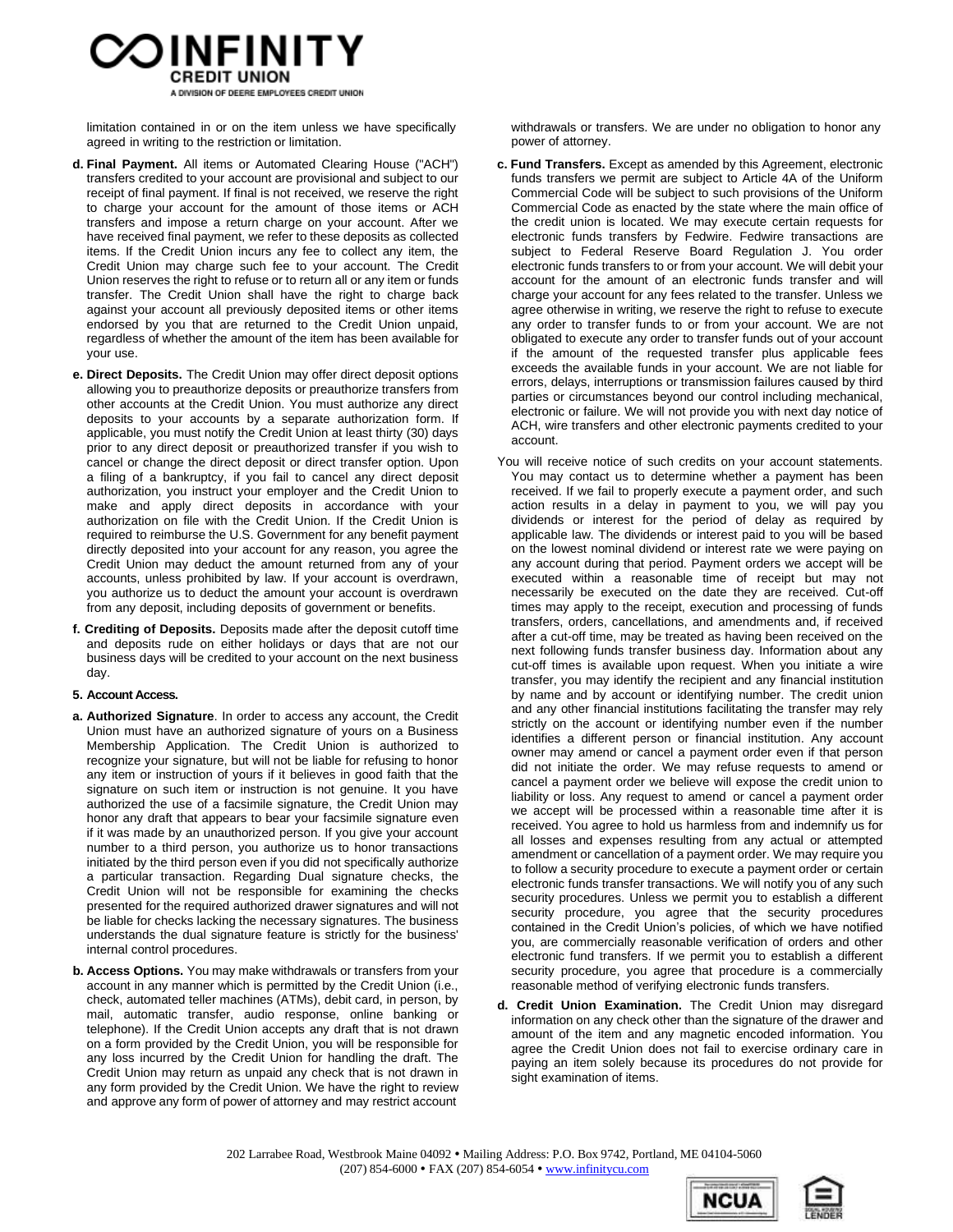

limitation contained in or on the item unless we have specifically agreed in writing to the restriction or limitation.

- **d. Final Payment.** All items or Automated Clearing House ("ACH") transfers credited to your account are provisional and subject to our receipt of final payment. If final is not received, we reserve the right to charge your account for the amount of those items or ACH transfers and impose a return charge on your account. After we have received final payment, we refer to these deposits as collected items. If the Credit Union incurs any fee to collect any item, the Credit Union may charge such fee to your account. The Credit Union reserves the right to refuse or to return all or any item or funds transfer. The Credit Union shall have the right to charge back against your account all previously deposited items or other items endorsed by you that are returned to the Credit Union unpaid, regardless of whether the amount of the item has been available for your use.
- **e. Direct Deposits.** The Credit Union may offer direct deposit options allowing you to preauthorize deposits or preauthorize transfers from other accounts at the Credit Union. You must authorize any direct deposits to your accounts by a separate authorization form. If applicable, you must notify the Credit Union at least thirty (30) days prior to any direct deposit or preauthorized transfer if you wish to cancel or change the direct deposit or direct transfer option. Upon a filing of a bankruptcy, if you fail to cancel any direct deposit authorization, you instruct your employer and the Credit Union to make and apply direct deposits in accordance with your authorization on file with the Credit Union. If the Credit Union is required to reimburse the U.S. Government for any benefit payment directly deposited into your account for any reason, you agree the Credit Union may deduct the amount returned from any of your accounts, unless prohibited by law. If your account is overdrawn, you authorize us to deduct the amount your account is overdrawn from any deposit, including deposits of government or benefits.
- **f. Crediting of Deposits.** Deposits made after the deposit cutoff time and deposits rude on either holidays or days that are not our business days will be credited to your account on the next business day.

#### **5. Account Access.**

- **a. Authorized Signature**. In order to access any account, the Credit Union must have an authorized signature of yours on a Business Membership Application. The Credit Union is authorized to recognize your signature, but will not be liable for refusing to honor any item or instruction of yours if it believes in good faith that the signature on such item or instruction is not genuine. It you have authorized the use of a facsimile signature, the Credit Union may honor any draft that appears to bear your facsimile signature even if it was made by an unauthorized person. If you give your account number to a third person, you authorize us to honor transactions initiated by the third person even if you did not specifically authorize a particular transaction. Regarding Dual signature checks, the Credit Union will not be responsible for examining the checks presented for the required authorized drawer signatures and will not be liable for checks lacking the necessary signatures. The business understands the dual signature feature is strictly for the business' internal control procedures.
- **b. Access Options.** You may make withdrawals or transfers from your account in any manner which is permitted by the Credit Union (i.e., check, automated teller machines (ATMs), debit card, in person, by mail, automatic transfer, audio response, online banking or telephone). If the Credit Union accepts any draft that is not drawn on a form provided by the Credit Union, you will be responsible for any loss incurred by the Credit Union for handling the draft. The Credit Union may return as unpaid any check that is not drawn in any form provided by the Credit Union. We have the right to review and approve any form of power of attorney and may restrict account

withdrawals or transfers. We are under no obligation to honor any power of attorney.

- **c. Fund Transfers.** Except as amended by this Agreement, electronic funds transfers we permit are subject to Article 4A of the Uniform Commercial Code will be subject to such provisions of the Uniform Commercial Code as enacted by the state where the main office of the credit union is located. We may execute certain requests for electronic funds transfers by Fedwire. Fedwire transactions are subject to Federal Reserve Board Regulation J. You order electronic funds transfers to or from your account. We will debit your account for the amount of an electronic funds transfer and will charge your account for any fees related to the transfer. Unless we agree otherwise in writing, we reserve the right to refuse to execute any order to transfer funds to or from your account. We are not obligated to execute any order to transfer funds out of your account if the amount of the requested transfer plus applicable fees exceeds the available funds in your account. We are not liable for errors, delays, interruptions or transmission failures caused by third parties or circumstances beyond our control including mechanical, electronic or failure. We will not provide you with next day notice of ACH, wire transfers and other electronic payments credited to your account.
- You will receive notice of such credits on your account statements. You may contact us to determine whether a payment has been received. If we fail to properly execute a payment order, and such action results in a delay in payment to you, we will pay you dividends or interest for the period of delay as required by applicable law. The dividends or interest paid to you will be based on the lowest nominal dividend or interest rate we were paying on any account during that period. Payment orders we accept will be executed within a reasonable time of receipt but may not necessarily be executed on the date they are received. Cut-off times may apply to the receipt, execution and processing of funds transfers, orders, cancellations, and amendments and, if received after a cut-off time, may be treated as having been received on the next following funds transfer business day. Information about any cut-off times is available upon request. When you initiate a wire transfer, you may identify the recipient and any financial institution by name and by account or identifying number. The credit union and any other financial institutions facilitating the transfer may rely strictly on the account or identifying number even if the number identifies a different person or financial institution. Any account owner may amend or cancel a payment order even if that person did not initiate the order. We may refuse requests to amend or cancel a payment order we believe will expose the credit union to liability or loss. Any request to amend or cancel a payment order we accept will be processed within a reasonable time after it is received. You agree to hold us harmless from and indemnify us for all losses and expenses resulting from any actual or attempted amendment or cancellation of a payment order. We may require you to follow a security procedure to execute a payment order or certain electronic funds transfer transactions. We will notify you of any such security procedures. Unless we permit you to establish a different security procedure, you agree that the security procedures contained in the Credit Union's policies, of which we have notified you, are commercially reasonable verification of orders and other electronic fund transfers. If we permit you to establish a different security procedure, you agree that procedure is a commercially reasonable method of verifying electronic funds transfers.
- **d. Credit Union Examination.** The Credit Union may disregard information on any check other than the signature of the drawer and amount of the item and any magnetic encoded information. You agree the Credit Union does not fail to exercise ordinary care in paying an item solely because its procedures do not provide for sight examination of items.



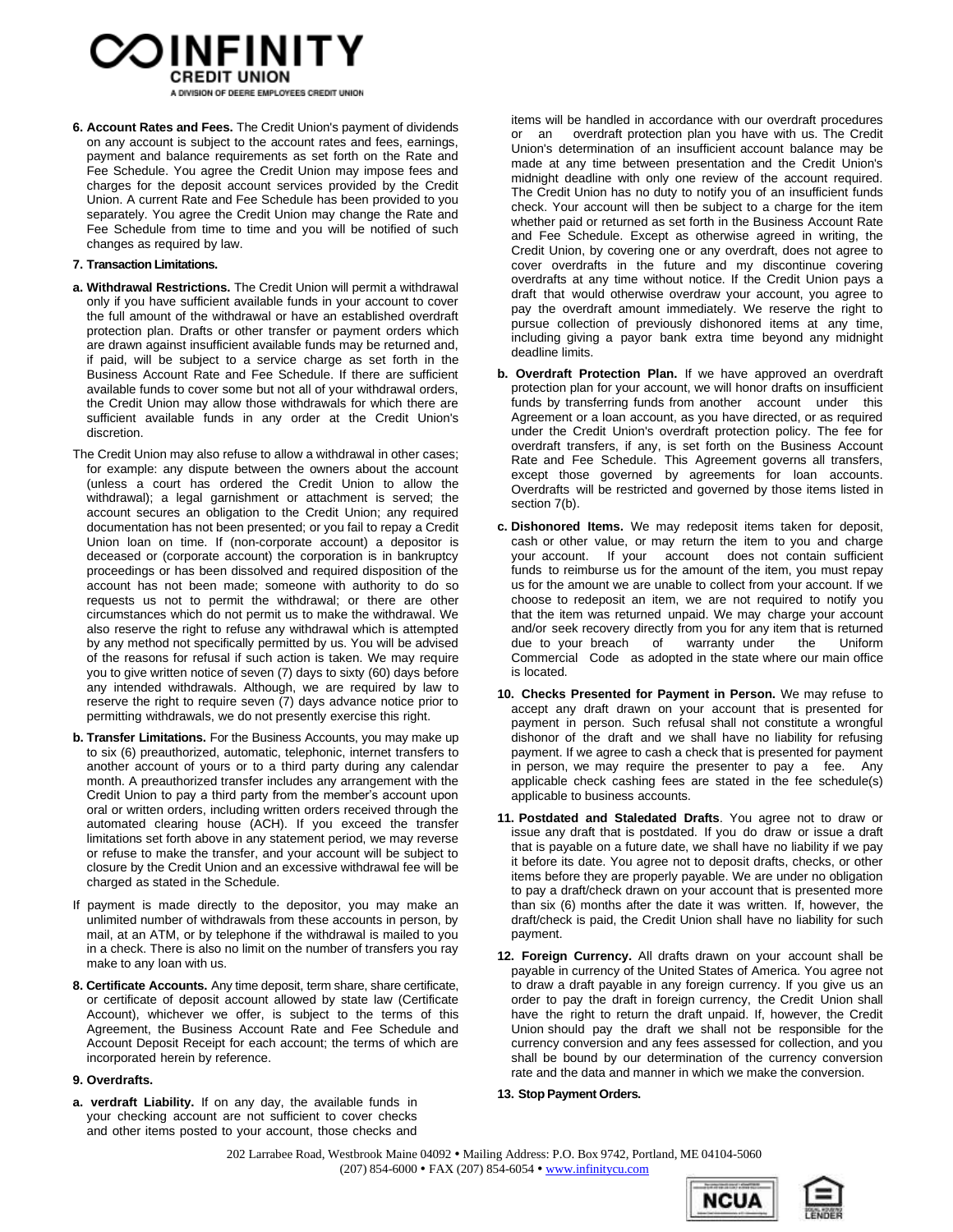# OINFINITY A DIVISION OF DEERE EMPLOYEES CREDIT UNION

**6. Account Rates and Fees.** The Credit Union's payment of dividends on any account is subject to the account rates and fees, earnings, payment and balance requirements as set forth on the Rate and Fee Schedule. You agree the Credit Union may impose fees and charges for the deposit account services provided by the Credit Union. A current Rate and Fee Schedule has been provided to you separately. You agree the Credit Union may change the Rate and Fee Schedule from time to time and you will be notified of such changes as required by law.

# **7. Transaction Limitations.**

- **a. Withdrawal Restrictions.** The Credit Union will permit a withdrawal only if you have sufficient available funds in your account to cover the full amount of the withdrawal or have an established overdraft protection plan. Drafts or other transfer or payment orders which are drawn against insufficient available funds may be returned and, if paid, will be subject to a service charge as set forth in the Business Account Rate and Fee Schedule. If there are sufficient available funds to cover some but not all of your withdrawal orders, the Credit Union may allow those withdrawals for which there are sufficient available funds in any order at the Credit Union's discretion.
- The Credit Union may also refuse to allow a withdrawal in other cases; for example: any dispute between the owners about the account (unless a court has ordered the Credit Union to allow the withdrawal); a legal garnishment or attachment is served; the account secures an obligation to the Credit Union; any required documentation has not been presented; or you fail to repay a Credit Union loan on time. If (non-corporate account) a depositor is deceased or (corporate account) the corporation is in bankruptcy proceedings or has been dissolved and required disposition of the account has not been made; someone with authority to do so requests us not to permit the withdrawal; or there are other circumstances which do not permit us to make the withdrawal. We also reserve the right to refuse any withdrawal which is attempted by any method not specifically permitted by us. You will be advised of the reasons for refusal if such action is taken. We may require you to give written notice of seven (7) days to sixty (60) days before any intended withdrawals. Although, we are required by law to reserve the right to require seven (7) days advance notice prior to permitting withdrawals, we do not presently exercise this right.
- **b. Transfer Limitations.** For the Business Accounts, you may make up to six (6) preauthorized, automatic, telephonic, internet transfers to another account of yours or to a third party during any calendar month. A preauthorized transfer includes any arrangement with the Credit Union to pay a third party from the member's account upon oral or written orders, including written orders received through the automated clearing house (ACH). If you exceed the transfer limitations set forth above in any statement period, we may reverse or refuse to make the transfer, and your account will be subject to closure by the Credit Union and an excessive withdrawal fee will be charged as stated in the Schedule.
- If payment is made directly to the depositor, you may make an unlimited number of withdrawals from these accounts in person, by mail, at an ATM, or by telephone if the withdrawal is mailed to you in a check. There is also no limit on the number of transfers you ray make to any loan with us.
- **8. Certificate Accounts.** Any time deposit, term share, share certificate, or certificate of deposit account allowed by state law (Certificate Account), whichever we offer, is subject to the terms of this Agreement, the Business Account Rate and Fee Schedule and Account Deposit Receipt for each account; the terms of which are incorporated herein by reference.

## **9. Overdrafts.**

**a. verdraft Liability.** If on any day, the available funds in your checking account are not sufficient to cover checks and other items posted to your account, those checks and

items will be handled in accordance with our overdraft procedures or an overdraft protection plan you have with us. The Credit Union's determination of an insufficient account balance may be made at any time between presentation and the Credit Union's midnight deadline with only one review of the account required. The Credit Union has no duty to notify you of an insufficient funds check. Your account will then be subject to a charge for the item whether paid or returned as set forth in the Business Account Rate and Fee Schedule. Except as otherwise agreed in writing, the Credit Union, by covering one or any overdraft, does not agree to cover overdrafts in the future and my discontinue covering overdrafts at any time without notice. If the Credit Union pays a draft that would otherwise overdraw your account, you agree to pay the overdraft amount immediately. We reserve the right to pursue collection of previously dishonored items at any time, including giving a payor bank extra time beyond any midnight deadline limits.

- **b. Overdraft Protection Plan.** If we have approved an overdraft protection plan for your account, we will honor drafts on insufficient funds by transferring funds from another account under this Agreement or a loan account, as you have directed, or as required under the Credit Union's overdraft protection policy. The fee for overdraft transfers, if any, is set forth on the Business Account Rate and Fee Schedule. This Agreement governs all transfers, except those governed by agreements for loan accounts. Overdrafts will be restricted and governed by those items listed in section 7(b).
- **c. Dishonored Items.** We may redeposit items taken for deposit, cash or other value, or may return the item to you and charge your account. If your account does not contain sufficient funds to reimburse us for the amount of the item, you must repay us for the amount we are unable to collect from your account. If we choose to redeposit an item, we are not required to notify you that the item was returned unpaid. We may charge your account and/or seek recovery directly from you for any item that is returned due to your breach of warranty under the Uniform Commercial Code as adopted in the state where our main office is located.
- **10. Checks Presented for Payment in Person.** We may refuse to accept any draft drawn on your account that is presented for payment in person. Such refusal shall not constitute a wrongful dishonor of the draft and we shall have no liability for refusing payment. If we agree to cash a check that is presented for payment in person, we may require the presenter to pay a fee. Any applicable check cashing fees are stated in the fee schedule(s) applicable to business accounts.
- **11. Postdated and Staledated Drafts**. You agree not to draw or issue any draft that is postdated. If you do draw or issue a draft that is payable on a future date, we shall have no liability if we pay it before its date. You agree not to deposit drafts, checks, or other items before they are properly payable. We are under no obligation to pay a draft/check drawn on your account that is presented more than six (6) months after the date it was written. If, however, the draft/check is paid, the Credit Union shall have no liability for such payment.
- **12. Foreign Currency.** All drafts drawn on your account shall be payable in currency of the United States of America. You agree not to draw a draft payable in any foreign currency. If you give us an order to pay the draft in foreign currency, the Credit Union shall have the right to return the draft unpaid. If, however, the Credit Union should pay the draft we shall not be responsible for the currency conversion and any fees assessed for collection, and you shall be bound by our determination of the currency conversion rate and the data and manner in which we make the conversion.

## **13. Stop Payment Orders.**



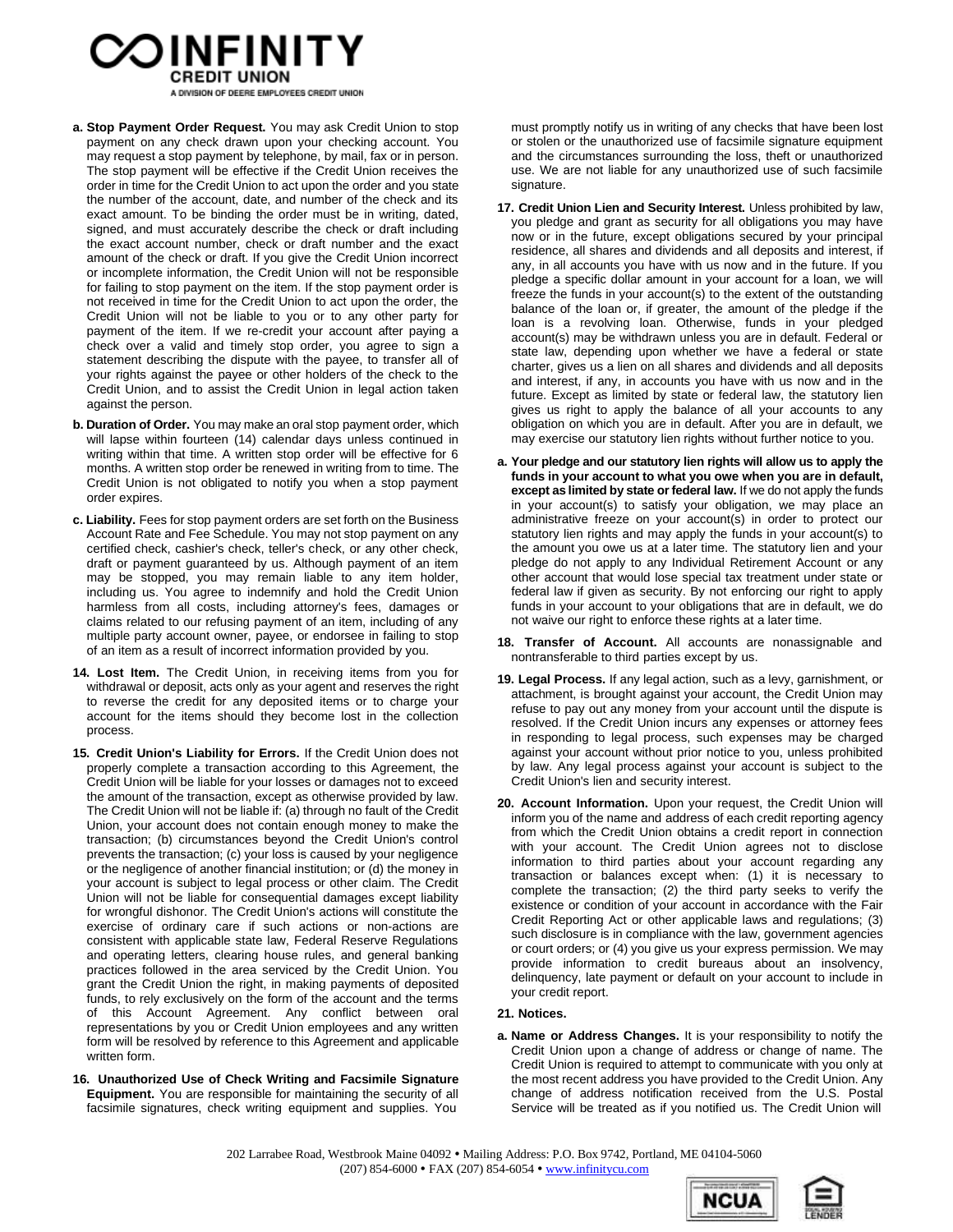

- **a. Stop Payment Order Request.** You may ask Credit Union to stop payment on any check drawn upon your checking account. You may request a stop payment by telephone, by mail, fax or in person. The stop payment will be effective if the Credit Union receives the order in time for the Credit Union to act upon the order and you state the number of the account, date, and number of the check and its exact amount. To be binding the order must be in writing, dated, signed, and must accurately describe the check or draft including the exact account number, check or draft number and the exact amount of the check or draft. If you give the Credit Union incorrect or incomplete information, the Credit Union will not be responsible for failing to stop payment on the item. If the stop payment order is not received in time for the Credit Union to act upon the order, the Credit Union will not be liable to you or to any other party for payment of the item. If we re-credit your account after paying a check over a valid and timely stop order, you agree to sign a statement describing the dispute with the payee, to transfer all of your rights against the payee or other holders of the check to the Credit Union, and to assist the Credit Union in legal action taken against the person.
- **b. Duration of Order.** You may make an oral stop payment order, which will lapse within fourteen (14) calendar days unless continued in writing within that time. A written stop order will be effective for 6 months. A written stop order be renewed in writing from to time. The Credit Union is not obligated to notify you when a stop payment order expires.
- **c. Liability.** Fees for stop payment orders are set forth on the Business Account Rate and Fee Schedule. You may not stop payment on any certified check, cashier's check, teller's check, or any other check, draft or payment guaranteed by us. Although payment of an item may be stopped, you may remain liable to any item holder, including us. You agree to indemnify and hold the Credit Union harmless from all costs, including attorney's fees, damages or claims related to our refusing payment of an item, including of any multiple party account owner, payee, or endorsee in failing to stop of an item as a result of incorrect information provided by you.
- **14. Lost Item.** The Credit Union, in receiving items from you for withdrawal or deposit, acts only as your agent and reserves the right to reverse the credit for any deposited items or to charge your account for the items should they become lost in the collection process.
- **15. Credit Union's Liability for Errors.** If the Credit Union does not properly complete a transaction according to this Agreement, the Credit Union will be liable for your losses or damages not to exceed the amount of the transaction, except as otherwise provided by law. The Credit Union will not be liable if: (a) through no fault of the Credit Union, your account does not contain enough money to make the transaction; (b) circumstances beyond the Credit Union's control prevents the transaction; (c) your loss is caused by your negligence or the negligence of another financial institution; or (d) the money in your account is subject to legal process or other claim. The Credit Union will not be liable for consequential damages except liability for wrongful dishonor. The Credit Union's actions will constitute the exercise of ordinary care if such actions or non-actions are consistent with applicable state law, Federal Reserve Regulations and operating letters, clearing house rules, and general banking practices followed in the area serviced by the Credit Union. You grant the Credit Union the right, in making payments of deposited funds, to rely exclusively on the form of the account and the terms this Account Agreement. Any conflict between oral representations by you or Credit Union employees and any written form will be resolved by reference to this Agreement and applicable written form.
- **16. Unauthorized Use of Check Writing and Facsimile Signature Equipment.** You are responsible for maintaining the security of all facsimile signatures, check writing equipment and supplies. You

must promptly notify us in writing of any checks that have been lost or stolen or the unauthorized use of facsimile signature equipment and the circumstances surrounding the loss, theft or unauthorized use. We are not liable for any unauthorized use of such facsimile signature.

- **17. Credit Union Lien and Security Interest.** Unless prohibited by law, you pledge and grant as security for all obligations you may have now or in the future, except obligations secured by your principal residence, all shares and dividends and all deposits and interest, if any, in all accounts you have with us now and in the future. If you pledge a specific dollar amount in your account for a loan, we will freeze the funds in your account(s) to the extent of the outstanding balance of the loan or, if greater, the amount of the pledge if the loan is a revolving loan. Otherwise, funds in your pledged account(s) may be withdrawn unless you are in default. Federal or state law, depending upon whether we have a federal or state charter, gives us a lien on all shares and dividends and all deposits and interest, if any, in accounts you have with us now and in the future. Except as limited by state or federal law, the statutory lien gives us right to apply the balance of all your accounts to any obligation on which you are in default. After you are in default, we may exercise our statutory lien rights without further notice to you.
- **a. Your pledge and our statutory lien rights will allow us to apply the funds in your account to what you owe when you are in default, except as limited by state orfederal law.** If we do not apply the funds in your account(s) to satisfy your obligation, we may place an administrative freeze on your account(s) in order to protect our statutory lien rights and may apply the funds in your account(s) to the amount you owe us at a later time. The statutory lien and your pledge do not apply to any Individual Retirement Account or any other account that would lose special tax treatment under state or federal law if given as security. By not enforcing our right to apply funds in your account to your obligations that are in default, we do not waive our right to enforce these rights at a later time.
- **18. Transfer of Account.** All accounts are nonassignable and nontransferable to third parties except by us.
- **19. Legal Process.** If any legal action, such as a levy, garnishment, or attachment, is brought against your account, the Credit Union may refuse to pay out any money from your account until the dispute is resolved. If the Credit Union incurs any expenses or attorney fees in responding to legal process, such expenses may be charged against your account without prior notice to you, unless prohibited by law. Any legal process against your account is subject to the Credit Union's lien and security interest.
- **20. Account Information.** Upon your request, the Credit Union will inform you of the name and address of each credit reporting agency from which the Credit Union obtains a credit report in connection with your account. The Credit Union agrees not to disclose information to third parties about your account regarding any transaction or balances except when: (1) it is necessary to complete the transaction; (2) the third party seeks to verify the existence or condition of your account in accordance with the Fair Credit Reporting Act or other applicable laws and regulations; (3) such disclosure is in compliance with the law, government agencies or court orders; or (4) you give us your express permission. We may provide information to credit bureaus about an insolvency, delinquency, late payment or default on your account to include in your credit report.

## **21. Notices.**

**a. Name or Address Changes.** It is your responsibility to notify the Credit Union upon a change of address or change of name. The Credit Union is required to attempt to communicate with you only at the most recent address you have provided to the Credit Union. Any change of address notification received from the U.S. Postal Service will be treated as if you notified us. The Credit Union will

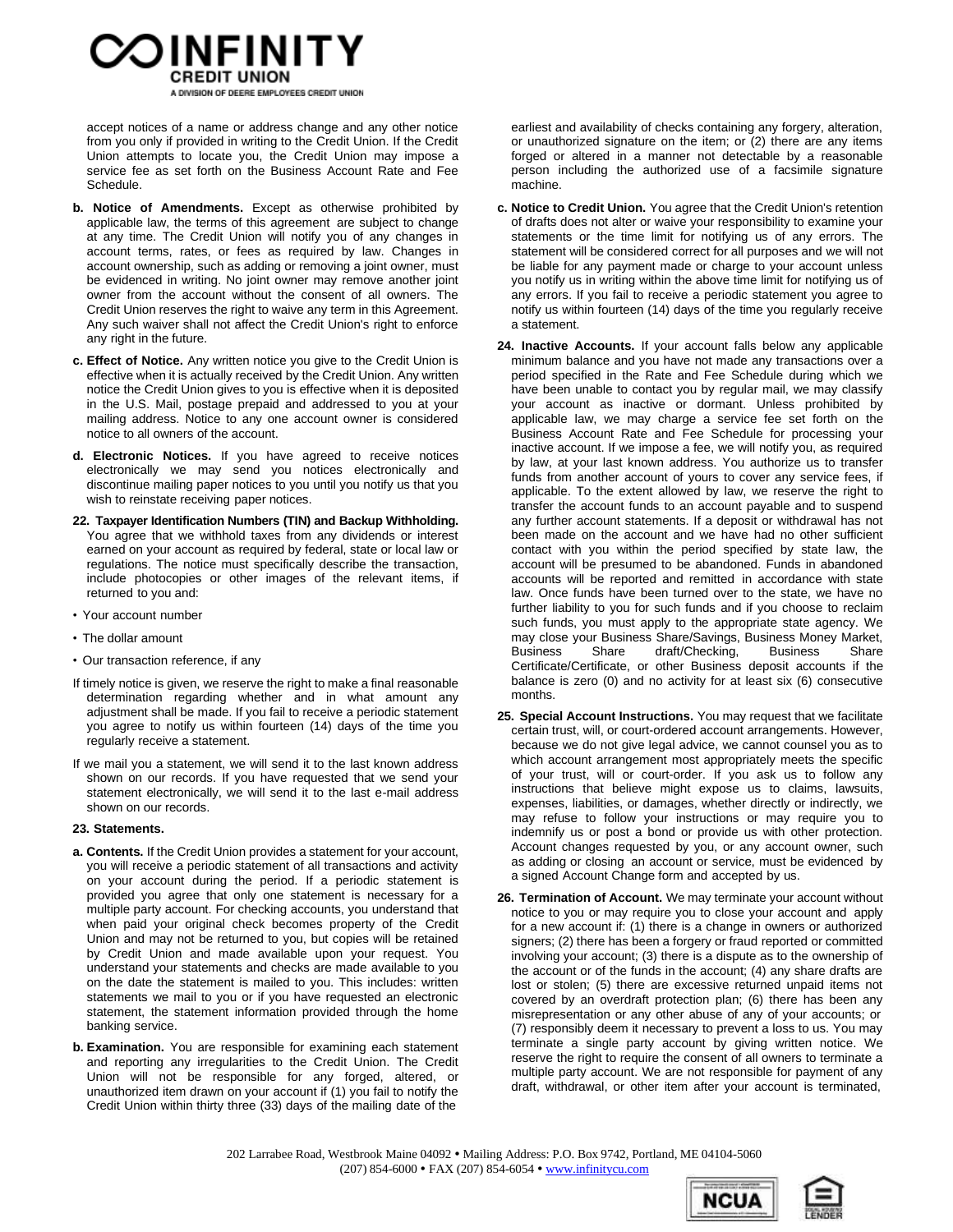

accept notices of a name or address change and any other notice from you only if provided in writing to the Credit Union. If the Credit Union attempts to locate you, the Credit Union may impose a service fee as set forth on the Business Account Rate and Fee Schedule.

- **b. Notice of Amendments.** Except as otherwise prohibited by applicable law, the terms of this agreement are subject to change at any time. The Credit Union will notify you of any changes in account terms, rates, or fees as required by law. Changes in account ownership, such as adding or removing a joint owner, must be evidenced in writing. No joint owner may remove another joint owner from the account without the consent of all owners. The Credit Union reserves the right to waive any term in this Agreement. Any such waiver shall not affect the Credit Union's right to enforce any right in the future.
- **c. Effect of Notice.** Any written notice you give to the Credit Union is effective when it is actually received by the Credit Union. Any written notice the Credit Union gives to you is effective when it is deposited in the U.S. Mail, postage prepaid and addressed to you at your mailing address. Notice to any one account owner is considered notice to all owners of the account.
- **d. Electronic Notices.** If you have agreed to receive notices electronically we may send you notices electronically and discontinue mailing paper notices to you until you notify us that you wish to reinstate receiving paper notices.
- **22. Taxpayer Identification Numbers (TIN) and Backup Withholding.** You agree that we withhold taxes from any dividends or interest earned on your account as required by federal, state or local law or regulations. The notice must specifically describe the transaction, include photocopies or other images of the relevant items, if returned to you and:
- Your account number
- The dollar amount
- Our transaction reference, if any
- If timely notice is given, we reserve the right to make a final reasonable determination regarding whether and in what amount any adjustment shall be made. If you fail to receive a periodic statement you agree to notify us within fourteen (14) days of the time you regularly receive a statement.
- If we mail you a statement, we will send it to the last known address shown on our records. If you have requested that we send your statement electronically, we will send it to the last e-mail address shown on our records.

#### **23. Statements.**

- **a. Contents.** If the Credit Union provides a statement for your account, you will receive a periodic statement of all transactions and activity on your account during the period. If a periodic statement is provided you agree that only one statement is necessary for a multiple party account. For checking accounts, you understand that when paid your original check becomes property of the Credit Union and may not be returned to you, but copies will be retained by Credit Union and made available upon your request. You understand your statements and checks are made available to you on the date the statement is mailed to you. This includes: written statements we mail to you or if you have requested an electronic statement, the statement information provided through the home banking service.
- **b. Examination.** You are responsible for examining each statement and reporting any irregularities to the Credit Union. The Credit Union will not be responsible for any forged, altered, or unauthorized item drawn on your account if (1) you fail to notify the Credit Union within thirty three (33) days of the mailing date of the

earliest and availability of checks containing any forgery, alteration, or unauthorized signature on the item; or (2) there are any items forged or altered in a manner not detectable by a reasonable person including the authorized use of a facsimile signature machine.

- **c. Notice to Credit Union.** You agree that the Credit Union's retention of drafts does not alter or waive your responsibility to examine your statements or the time limit for notifying us of any errors. The statement will be considered correct for all purposes and we will not be liable for any payment made or charge to your account unless you notify us in writing within the above time limit for notifying us of any errors. If you fail to receive a periodic statement you agree to notify us within fourteen (14) days of the time you regularly receive a statement.
- **24. Inactive Accounts.** If your account falls below any applicable minimum balance and you have not made any transactions over a period specified in the Rate and Fee Schedule during which we have been unable to contact you by regular mail, we may classify your account as inactive or dormant. Unless prohibited by applicable law, we may charge a service fee set forth on the Business Account Rate and Fee Schedule for processing your inactive account. If we impose a fee, we will notify you, as required by law, at your last known address. You authorize us to transfer funds from another account of yours to cover any service fees, if applicable. To the extent allowed by law, we reserve the right to transfer the account funds to an account payable and to suspend any further account statements. If a deposit or withdrawal has not been made on the account and we have had no other sufficient contact with you within the period specified by state law, the account will be presumed to be abandoned. Funds in abandoned accounts will be reported and remitted in accordance with state law. Once funds have been turned over to the state, we have no further liability to you for such funds and if you choose to reclaim such funds, you must apply to the appropriate state agency. We may close your Business Share/Savings, Business Money Market, Business Share draft/Checking, Business Share Certificate/Certificate, or other Business deposit accounts if the balance is zero (0) and no activity for at least six (6) consecutive months.
- **25. Special Account Instructions.** You may request that we facilitate certain trust, will, or court-ordered account arrangements. However, because we do not give legal advice, we cannot counsel you as to which account arrangement most appropriately meets the specific of your trust, will or court-order. If you ask us to follow any instructions that believe might expose us to claims, lawsuits, expenses, liabilities, or damages, whether directly or indirectly, we may refuse to follow your instructions or may require you to indemnify us or post a bond or provide us with other protection. Account changes requested by you, or any account owner, such as adding or closing an account or service, must be evidenced by a signed Account Change form and accepted by us.
- **26. Termination of Account.** We may terminate your account without notice to you or may require you to close your account and apply for a new account if: (1) there is a change in owners or authorized signers; (2) there has been a forgery or fraud reported or committed involving your account; (3) there is a dispute as to the ownership of the account or of the funds in the account; (4) any share drafts are lost or stolen; (5) there are excessive returned unpaid items not covered by an overdraft protection plan; (6) there has been any misrepresentation or any other abuse of any of your accounts; or (7) responsibly deem it necessary to prevent a loss to us. You may terminate a single party account by giving written notice. We reserve the right to require the consent of all owners to terminate a multiple party account. We are not responsible for payment of any draft, withdrawal, or other item after your account is terminated,



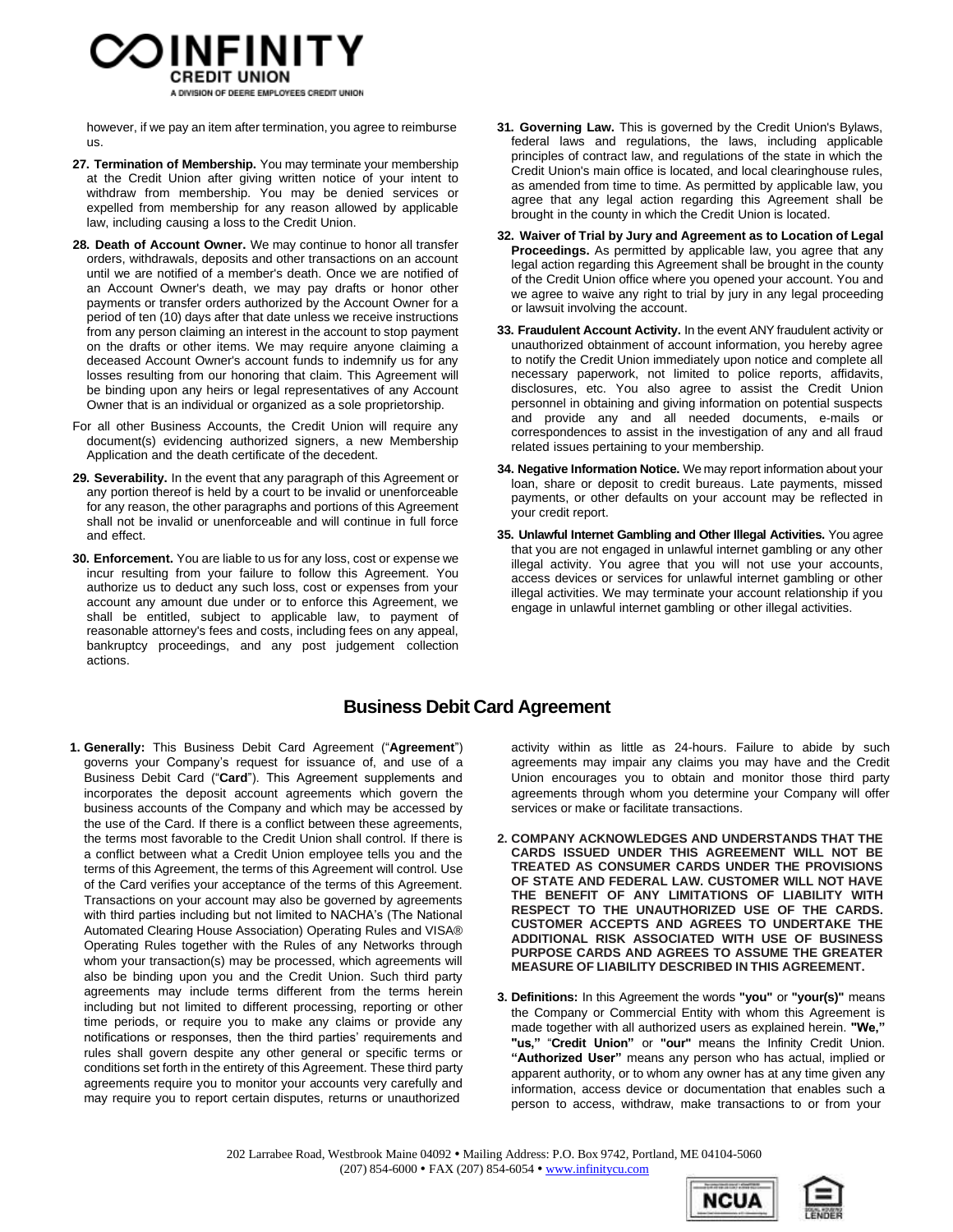

however, if we pay an item after termination, you agree to reimburse us.

- **27. Termination of Membership.** You may terminate your membership at the Credit Union after giving written notice of your intent to withdraw from membership. You may be denied services or expelled from membership for any reason allowed by applicable law, including causing a loss to the Credit Union.
- **28. Death of Account Owner.** We may continue to honor all transfer orders, withdrawals, deposits and other transactions on an account until we are notified of a member's death. Once we are notified of an Account Owner's death, we may pay drafts or honor other payments or transfer orders authorized by the Account Owner for a period of ten (10) days after that date unless we receive instructions from any person claiming an interest in the account to stop payment on the drafts or other items. We may require anyone claiming a deceased Account Owner's account funds to indemnify us for any losses resulting from our honoring that claim. This Agreement will be binding upon any heirs or legal representatives of any Account Owner that is an individual or organized as a sole proprietorship.
- For all other Business Accounts, the Credit Union will require any document(s) evidencing authorized signers, a new Membership Application and the death certificate of the decedent.
- **29. Severability.** In the event that any paragraph of this Agreement or any portion thereof is held by a court to be invalid or unenforceable for any reason, the other paragraphs and portions of this Agreement shall not be invalid or unenforceable and will continue in full force and effect.
- **30. Enforcement.** You are liable to us for any loss, cost or expense we incur resulting from your failure to follow this Agreement. You authorize us to deduct any such loss, cost or expenses from your account any amount due under or to enforce this Agreement, we shall be entitled, subject to applicable law, to payment of reasonable attorney's fees and costs, including fees on any appeal, bankruptcy proceedings, and any post judgement collection actions.
- **31. Governing Law.** This is governed by the Credit Union's Bylaws, federal laws and regulations, the laws, including applicable principles of contract law, and regulations of the state in which the Credit Union's main office is located, and local clearinghouse rules, as amended from time to time. As permitted by applicable law, you agree that any legal action regarding this Agreement shall be brought in the county in which the Credit Union is located.
- **32. Waiver of Trial by Jury and Agreement as to Location of Legal Proceedings.** As permitted by applicable law, you agree that any legal action regarding this Agreement shall be brought in the county of the Credit Union office where you opened your account. You and we agree to waive any right to trial by jury in any legal proceeding or lawsuit involving the account.
- **33. Fraudulent Account Activity.** In the event ANY fraudulent activity or unauthorized obtainment of account information, you hereby agree to notify the Credit Union immediately upon notice and complete all necessary paperwork, not limited to police reports, affidavits, disclosures, etc. You also agree to assist the Credit Union personnel in obtaining and giving information on potential suspects and provide any and all needed documents, e-mails or correspondences to assist in the investigation of any and all fraud related issues pertaining to your membership.
- **34. Negative Information Notice.** We may report information about your loan, share or deposit to credit bureaus. Late payments, missed payments, or other defaults on your account may be reflected in your credit report.
- **35. Unlawful Internet Gambling and Other Illegal Activities.** You agree that you are not engaged in unlawful internet gambling or any other illegal activity. You agree that you will not use your accounts, access devices or services for unlawful internet gambling or other illegal activities. We may terminate your account relationship if you engage in unlawful internet gambling or other illegal activities.

# **Business Debit Card Agreement**

**1. Generally:** This Business Debit Card Agreement ("**Agreement**") governs your Company's request for issuance of, and use of a Business Debit Card ("**Card**"). This Agreement supplements and incorporates the deposit account agreements which govern the business accounts of the Company and which may be accessed by the use of the Card. If there is a conflict between these agreements, the terms most favorable to the Credit Union shall control. If there is a conflict between what a Credit Union employee tells you and the terms of this Agreement, the terms of this Agreement will control. Use of the Card verifies your acceptance of the terms of this Agreement. Transactions on your account may also be governed by agreements with third parties including but not limited to NACHA's (The National Automated Clearing House Association) Operating Rules and VISA® Operating Rules together with the Rules of any Networks through whom your transaction(s) may be processed, which agreements will also be binding upon you and the Credit Union. Such third party agreements may include terms different from the terms herein including but not limited to different processing, reporting or other time periods, or require you to make any claims or provide any notifications or responses, then the third parties' requirements and rules shall govern despite any other general or specific terms or conditions set forth in the entirety of this Agreement. These third party agreements require you to monitor your accounts very carefully and may require you to report certain disputes, returns or unauthorized

activity within as little as 24-hours. Failure to abide by such agreements may impair any claims you may have and the Credit Union encourages you to obtain and monitor those third party agreements through whom you determine your Company will offer services or make or facilitate transactions.

- **2. COMPANY ACKNOWLEDGES AND UNDERSTANDS THAT THE CARDS ISSUED UNDER THIS AGREEMENT WILL NOT BE TREATED AS CONSUMER CARDS UNDER THE PROVISIONS OF STATE AND FEDERAL LAW. CUSTOMER WILL NOT HAVE THE BENEFIT OF ANY LIMITATIONS OF LIABILITY WITH RESPECT TO THE UNAUTHORIZED USE OF THE CARDS. CUSTOMER ACCEPTS AND AGREES TO UNDERTAKE THE ADDITIONAL RISK ASSOCIATED WITH USE OF BUSINESS PURPOSE CARDS AND AGREES TO ASSUME THE GREATER MEASURE OF LIABILITY DESCRIBED IN THIS AGREEMENT.**
- **3. Definitions:** In this Agreement the words **"you"** or **"your(s)"** means the Company or Commercial Entity with whom this Agreement is made together with all authorized users as explained herein. **"We," "us,"** "**Credit Union"** or **"our"** means the Infinity Credit Union. **"Authorized User"** means any person who has actual, implied or apparent authority, or to whom any owner has at any time given any information, access device or documentation that enables such a person to access, withdraw, make transactions to or from your



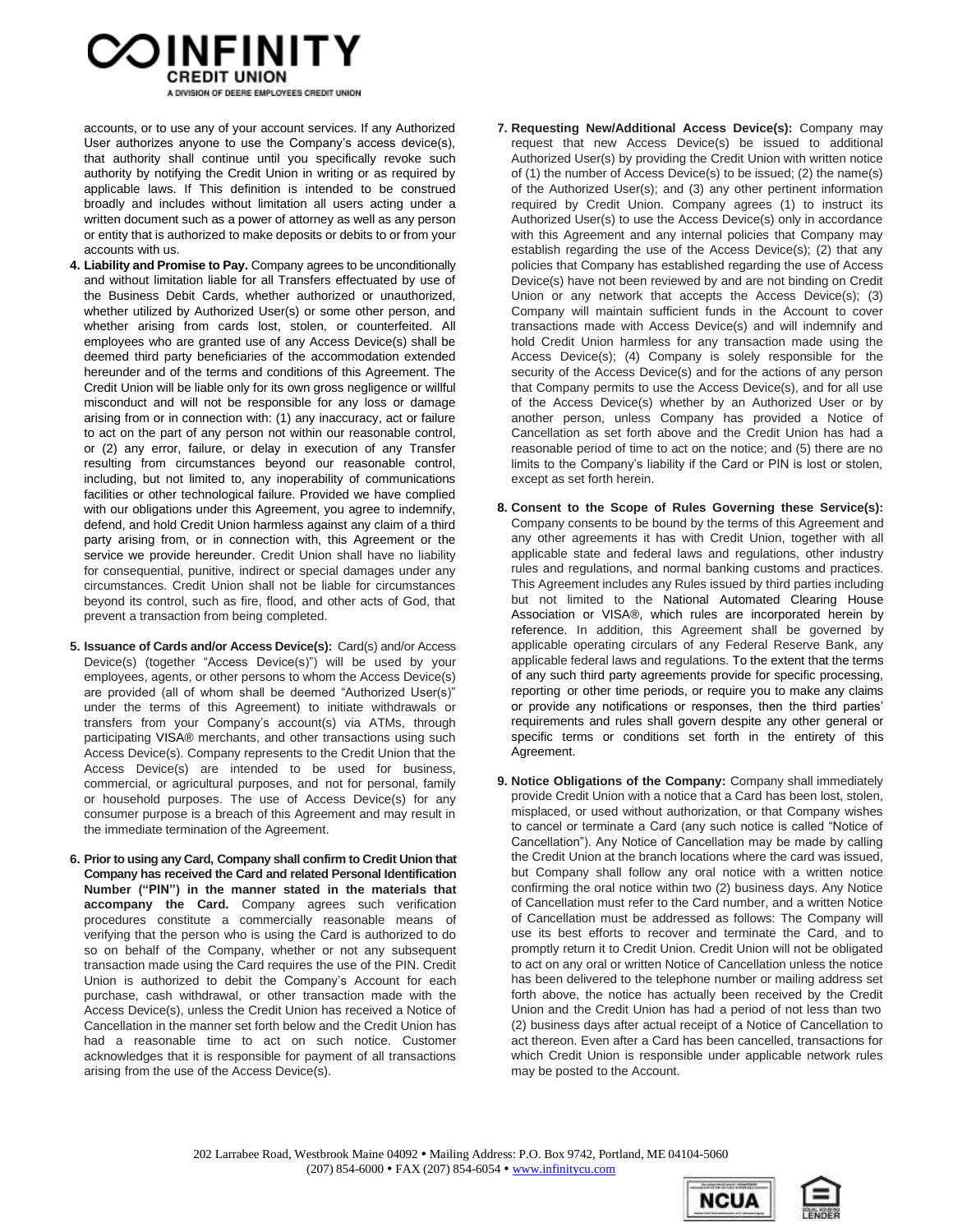# OINFINITY A DIVISION OF DEERE EMPLOYEES CREDIT UNION

accounts, or to use any of your account services. If any Authorized User authorizes anyone to use the Company's access device(s), that authority shall continue until you specifically revoke such authority by notifying the Credit Union in writing or as required by applicable laws. If This definition is intended to be construed broadly and includes without limitation all users acting under a written document such as a power of attorney as well as any person or entity that is authorized to make deposits or debits to or from your accounts with us.

- **4. Liability and Promise to Pay.** Company agrees to be unconditionally and without limitation liable for all Transfers effectuated by use of the Business Debit Cards, whether authorized or unauthorized, whether utilized by Authorized User(s) or some other person, and whether arising from cards lost, stolen, or counterfeited. All employees who are granted use of any Access Device(s) shall be deemed third party beneficiaries of the accommodation extended hereunder and of the terms and conditions of this Agreement. The Credit Union will be liable only for its own gross negligence or willful misconduct and will not be responsible for any loss or damage arising from or in connection with: (1) any inaccuracy, act or failure to act on the part of any person not within our reasonable control, or (2) any error, failure, or delay in execution of any Transfer resulting from circumstances beyond our reasonable control, including, but not limited to, any inoperability of communications facilities or other technological failure. Provided we have complied with our obligations under this Agreement, you agree to indemnify, defend, and hold Credit Union harmless against any claim of a third party arising from, or in connection with, this Agreement or the service we provide hereunder. Credit Union shall have no liability for consequential, punitive, indirect or special damages under any circumstances. Credit Union shall not be liable for circumstances beyond its control, such as fire, flood, and other acts of God, that prevent a transaction from being completed.
- **5. Issuance of Cards and/or Access Device(s):** Card(s) and/or Access Device(s) (together "Access Device(s)") will be used by your employees, agents, or other persons to whom the Access Device(s) are provided (all of whom shall be deemed "Authorized User(s)" under the terms of this Agreement) to initiate withdrawals or transfers from your Company's account(s) via ATMs, through participating VISA® merchants, and other transactions using such Access Device(s). Company represents to the Credit Union that the Access Device(s) are intended to be used for business, commercial, or agricultural purposes, and not for personal, family or household purposes. The use of Access Device(s) for any consumer purpose is a breach of this Agreement and may result in the immediate termination of the Agreement.
- **6. Prior to using any Card, Company shall confirm to Credit Union that Company has received the Card and related Personal Identification Number ("PIN") in the manner stated in the materials that accompany the Card.** Company agrees such verification procedures constitute a commercially reasonable means of verifying that the person who is using the Card is authorized to do so on behalf of the Company, whether or not any subsequent transaction made using the Card requires the use of the PIN. Credit Union is authorized to debit the Company's Account for each purchase, cash withdrawal, or other transaction made with the Access Device(s), unless the Credit Union has received a Notice of Cancellation in the manner set forth below and the Credit Union has had a reasonable time to act on such notice. Customer acknowledges that it is responsible for payment of all transactions arising from the use of the Access Device(s).
- **7. Requesting New/Additional Access Device(s):** Company may request that new Access Device(s) be issued to additional Authorized User(s) by providing the Credit Union with written notice of (1) the number of Access Device(s) to be issued; (2) the name(s) of the Authorized User(s); and (3) any other pertinent information required by Credit Union. Company agrees (1) to instruct its Authorized User(s) to use the Access Device(s) only in accordance with this Agreement and any internal policies that Company may establish regarding the use of the Access Device(s); (2) that any policies that Company has established regarding the use of Access Device(s) have not been reviewed by and are not binding on Credit Union or any network that accepts the Access Device(s); (3) Company will maintain sufficient funds in the Account to cover transactions made with Access Device(s) and will indemnify and hold Credit Union harmless for any transaction made using the Access Device(s); (4) Company is solely responsible for the security of the Access Device(s) and for the actions of any person that Company permits to use the Access Device(s), and for all use of the Access Device(s) whether by an Authorized User or by another person, unless Company has provided a Notice of Cancellation as set forth above and the Credit Union has had a reasonable period of time to act on the notice; and (5) there are no limits to the Company's liability if the Card or PIN is lost or stolen, except as set forth herein.
- **8. Consent to the Scope of Rules Governing these Service(s):** Company consents to be bound by the terms of this Agreement and any other agreements it has with Credit Union, together with all applicable state and federal laws and regulations, other industry rules and regulations, and normal banking customs and practices. This Agreement includes any Rules issued by third parties including but not limited to the National Automated Clearing House Association or VISA®, which rules are incorporated herein by reference. In addition, this Agreement shall be governed by applicable operating circulars of any Federal Reserve Bank, any applicable federal laws and regulations. To the extent that the terms of any such third party agreements provide for specific processing, reporting or other time periods, or require you to make any claims or provide any notifications or responses, then the third parties' requirements and rules shall govern despite any other general or specific terms or conditions set forth in the entirety of this Agreement.
- **9. Notice Obligations of the Company:** Company shall immediately provide Credit Union with a notice that a Card has been lost, stolen, misplaced, or used without authorization, or that Company wishes to cancel or terminate a Card (any such notice is called "Notice of Cancellation"). Any Notice of Cancellation may be made by calling the Credit Union at the branch locations where the card was issued, but Company shall follow any oral notice with a written notice confirming the oral notice within two (2) business days. Any Notice of Cancellation must refer to the Card number, and a written Notice of Cancellation must be addressed as follows: The Company will use its best efforts to recover and terminate the Card, and to promptly return it to Credit Union. Credit Union will not be obligated to act on any oral or written Notice of Cancellation unless the notice has been delivered to the telephone number or mailing address set forth above, the notice has actually been received by the Credit Union and the Credit Union has had a period of not less than two (2) business days after actual receipt of a Notice of Cancellation to act thereon. Even after a Card has been cancelled, transactions for which Credit Union is responsible under applicable network rules may be posted to the Account.



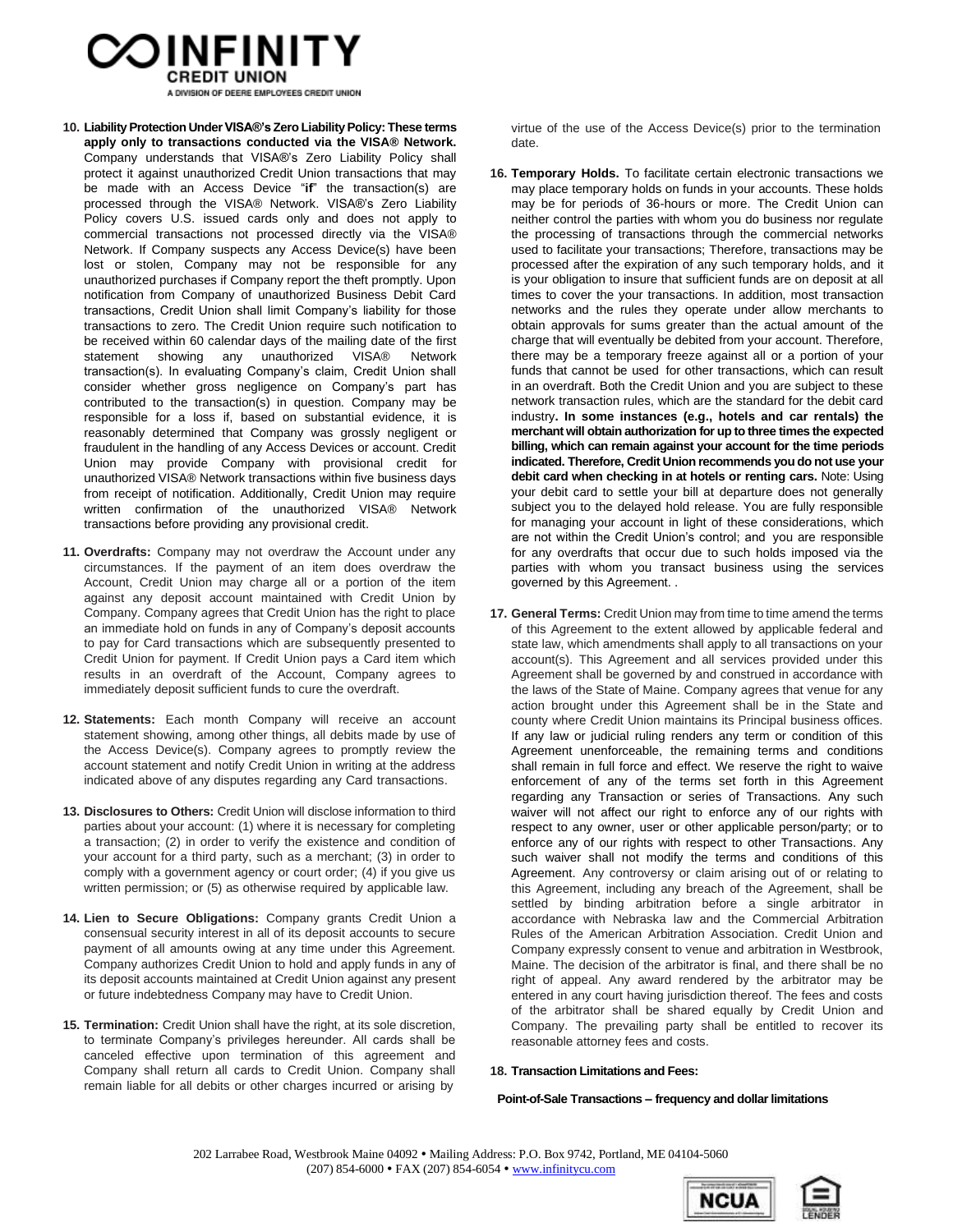

A DIVISION OF DEERE EMPLOYEES CREDIT UNION

- **10. LiabilityProtection UnderVISA®'sZero LiabilityPolicy: These terms apply only to transactions conducted via the VISA® Network.** Company understands that VISA®'s Zero Liability Policy shall protect it against unauthorized Credit Union transactions that may be made with an Access Device "**if**" the transaction(s) are processed through the VISA® Network. VISA®'s Zero Liability Policy covers U.S. issued cards only and does not apply to commercial transactions not processed directly via the VISA® Network. If Company suspects any Access Device(s) have been lost or stolen, Company may not be responsible for any unauthorized purchases if Company report the theft promptly. Upon notification from Company of unauthorized Business Debit Card transactions, Credit Union shall limit Company's liability for those transactions to zero. The Credit Union require such notification to be received within 60 calendar days of the mailing date of the first statement showing any unauthorized VISA® Network transaction(s). In evaluating Company's claim, Credit Union shall consider whether gross negligence on Company's part has contributed to the transaction(s) in question. Company may be responsible for a loss if, based on substantial evidence, it is reasonably determined that Company was grossly negligent or fraudulent in the handling of any Access Devices or account. Credit Union may provide Company with provisional credit for unauthorized VISA® Network transactions within five business days from receipt of notification. Additionally, Credit Union may require written confirmation of the unauthorized VISA® Network transactions before providing any provisional credit.
- **11. Overdrafts:** Company may not overdraw the Account under any circumstances. If the payment of an item does overdraw the Account, Credit Union may charge all or a portion of the item against any deposit account maintained with Credit Union by Company. Company agrees that Credit Union has the right to place an immediate hold on funds in any of Company's deposit accounts to pay for Card transactions which are subsequently presented to Credit Union for payment. If Credit Union pays a Card item which results in an overdraft of the Account, Company agrees to immediately deposit sufficient funds to cure the overdraft.
- **12. Statements:** Each month Company will receive an account statement showing, among other things, all debits made by use of the Access Device(s). Company agrees to promptly review the account statement and notify Credit Union in writing at the address indicated above of any disputes regarding any Card transactions.
- **13. Disclosures to Others:** Credit Union will disclose information to third parties about your account: (1) where it is necessary for completing a transaction; (2) in order to verify the existence and condition of your account for a third party, such as a merchant; (3) in order to comply with a government agency or court order; (4) if you give us written permission; or (5) as otherwise required by applicable law.
- **14. Lien to Secure Obligations:** Company grants Credit Union a consensual security interest in all of its deposit accounts to secure payment of all amounts owing at any time under this Agreement. Company authorizes Credit Union to hold and apply funds in any of its deposit accounts maintained at Credit Union against any present or future indebtedness Company may have to Credit Union.
- **15. Termination:** Credit Union shall have the right, at its sole discretion, to terminate Company's privileges hereunder. All cards shall be canceled effective upon termination of this agreement and Company shall return all cards to Credit Union. Company shall remain liable for all debits or other charges incurred or arising by

virtue of the use of the Access Device(s) prior to the termination date.

- **16. Temporary Holds.** To facilitate certain electronic transactions we may place temporary holds on funds in your accounts. These holds may be for periods of 36-hours or more. The Credit Union can neither control the parties with whom you do business nor regulate the processing of transactions through the commercial networks used to facilitate your transactions; Therefore, transactions may be processed after the expiration of any such temporary holds, and it is your obligation to insure that sufficient funds are on deposit at all times to cover the your transactions. In addition, most transaction networks and the rules they operate under allow merchants to obtain approvals for sums greater than the actual amount of the charge that will eventually be debited from your account. Therefore, there may be a temporary freeze against all or a portion of your funds that cannot be used for other transactions, which can result in an overdraft. Both the Credit Union and you are subject to these network transaction rules, which are the standard for the debit card industry**. In some instances (e.g., hotels and car rentals) the merchant will obtain authorization for up to three times the expected billing, which can remain against your account for the time periods indicated. Therefore, Credit Union recommends you do not use your debit card when checking in at hotels or renting cars.** Note: Using your debit card to settle your bill at departure does not generally subject you to the delayed hold release. You are fully responsible for managing your account in light of these considerations, which are not within the Credit Union's control; and you are responsible for any overdrafts that occur due to such holds imposed via the parties with whom you transact business using the services governed by this Agreement. .
- **17. General Terms:** Credit Union may from time to time amend the terms of this Agreement to the extent allowed by applicable federal and state law, which amendments shall apply to all transactions on your account(s). This Agreement and all services provided under this Agreement shall be governed by and construed in accordance with the laws of the State of Maine. Company agrees that venue for any action brought under this Agreement shall be in the State and county where Credit Union maintains its Principal business offices. If any law or judicial ruling renders any term or condition of this Agreement unenforceable, the remaining terms and conditions shall remain in full force and effect. We reserve the right to waive enforcement of any of the terms set forth in this Agreement regarding any Transaction or series of Transactions. Any such waiver will not affect our right to enforce any of our rights with respect to any owner, user or other applicable person/party; or to enforce any of our rights with respect to other Transactions. Any such waiver shall not modify the terms and conditions of this Agreement. Any controversy or claim arising out of or relating to this Agreement, including any breach of the Agreement, shall be settled by binding arbitration before a single arbitrator in accordance with Nebraska law and the Commercial Arbitration Rules of the American Arbitration Association. Credit Union and Company expressly consent to venue and arbitration in Westbrook, Maine. The decision of the arbitrator is final, and there shall be no right of appeal. Any award rendered by the arbitrator may be entered in any court having jurisdiction thereof. The fees and costs of the arbitrator shall be shared equally by Credit Union and Company. The prevailing party shall be entitled to recover its reasonable attorney fees and costs.

#### **18. Transaction Limitations and Fees:**

#### **Point-of-Sale Transactions – frequency and dollar limitations**